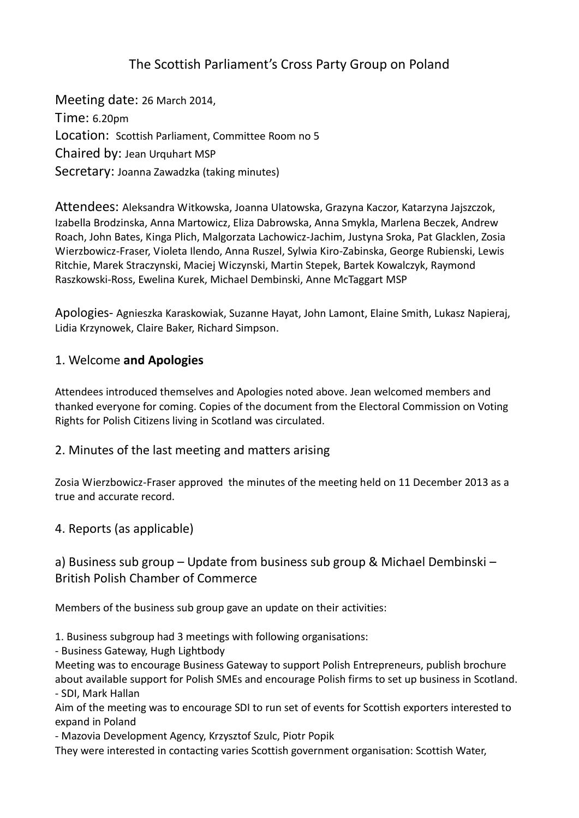# The Scottish Parliament's Cross Party Group on Poland

Meeting date: 26 March 2014, Time: 6.20pm Location: Scottish Parliament, Committee Room no 5 Chaired by: Jean Urquhart MSP Secretary: Joanna Zawadzka (taking minutes)

Attendees: Aleksandra Witkowska, Joanna Ulatowska, Grazyna Kaczor, Katarzyna Jajszczok, Izabella Brodzinska, Anna Martowicz, Eliza Dabrowska, Anna Smykla, Marlena Beczek, Andrew Roach, John Bates, Kinga Plich, Malgorzata Lachowicz-Jachim, Justyna Sroka, Pat Glacklen, Zosia Wierzbowicz-Fraser, Violeta Ilendo, Anna Ruszel, Sylwia Kiro-Zabinska, George Rubienski, Lewis Ritchie, Marek Straczynski, Maciej Wiczynski, Martin Stepek, Bartek Kowalczyk, Raymond Raszkowski-Ross, Ewelina Kurek, Michael Dembinski, Anne McTaggart MSP

Apologies- Agnieszka Karaskowiak, Suzanne Hayat, John Lamont, Elaine Smith, Lukasz Napieraj, Lidia Krzynowek, Claire Baker, Richard Simpson.

### 1. Welcome **and Apologies**

Attendees introduced themselves and Apologies noted above. Jean welcomed members and thanked everyone for coming. Copies of the document from the Electoral Commission on Voting Rights for Polish Citizens living in Scotland was circulated.

2. Minutes of the last meeting and matters arising

Zosia Wierzbowicz-Fraser approved the minutes of the meeting held on 11 December 2013 as a true and accurate record.

4. Reports (as applicable)

### a) Business sub group – Update from business sub group & Michael Dembinski – British Polish Chamber of Commerce

Members of the business sub group gave an update on their activities:

1. Business subgroup had 3 meetings with following organisations:

- Business Gateway, Hugh Lightbody

Meeting was to encourage Business Gateway to support Polish Entrepreneurs, publish brochure about available support for Polish SMEs and encourage Polish firms to set up business in Scotland. - SDI, Mark Hallan

Aim of the meeting was to encourage SDI to run set of events for Scottish exporters interested to expand in Poland

- Mazovia Development Agency, Krzysztof Szulc, Piotr Popik

They were interested in contacting varies Scottish government organisation: Scottish Water,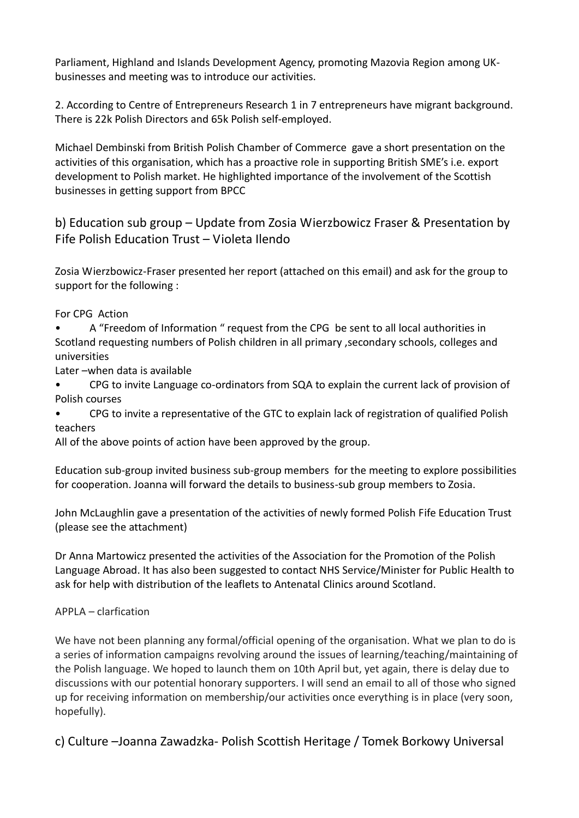Parliament, Highland and Islands Development Agency, promoting Mazovia Region among UKbusinesses and meeting was to introduce our activities.

2. According to Centre of Entrepreneurs Research 1 in 7 entrepreneurs have migrant background. There is 22k Polish Directors and 65k Polish self-employed.

Michael Dembinski from British Polish Chamber of Commerce gave a short presentation on the activities of this organisation, which has a proactive role in supporting British SME's i.e. export development to Polish market. He highlighted importance of the involvement of the Scottish businesses in getting support from BPCC

b) Education sub group – Update from Zosia Wierzbowicz Fraser & Presentation by Fife Polish Education Trust – Violeta Ilendo

Zosia Wierzbowicz-Fraser presented her report (attached on this email) and ask for the group to support for the following :

For CPG Action

• A "Freedom of Information " request from the CPG be sent to all local authorities in Scotland requesting numbers of Polish children in all primary ,secondary schools, colleges and universities

Later –when data is available

• CPG to invite Language co-ordinators from SQA to explain the current lack of provision of Polish courses

• CPG to invite a representative of the GTC to explain lack of registration of qualified Polish teachers

All of the above points of action have been approved by the group.

Education sub-group invited business sub-group members for the meeting to explore possibilities for cooperation. Joanna will forward the details to business-sub group members to Zosia.

John McLaughlin gave a presentation of the activities of newly formed Polish Fife Education Trust (please see the attachment)

Dr Anna Martowicz presented the activities of the Association for the Promotion of the Polish Language Abroad. It has also been suggested to contact NHS Service/Minister for Public Health to ask for help with distribution of the leaflets to Antenatal Clinics around Scotland.

APPLA – clarfication

We have not been planning any formal/official opening of the organisation. What we plan to do is a series of information campaigns revolving around the issues of learning/teaching/maintaining of the Polish language. We hoped to launch them on 10th April but, yet again, there is delay due to discussions with our potential honorary supporters. I will send an email to all of those who signed up for receiving information on membership/our activities once everything is in place (very soon, hopefully).

c) Culture –Joanna Zawadzka- Polish Scottish Heritage / Tomek Borkowy Universal